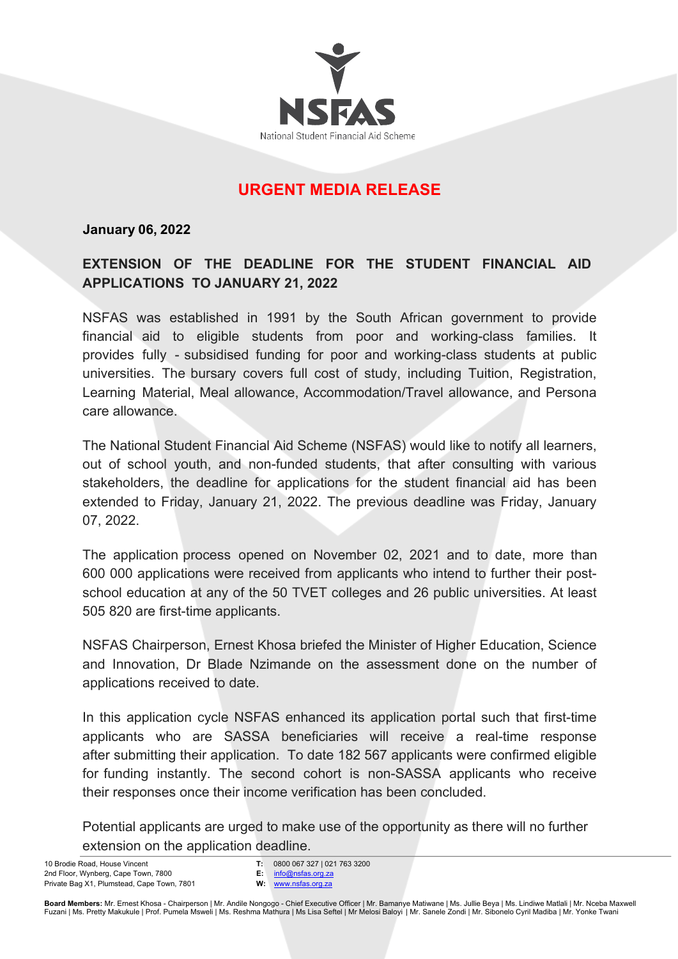

## **URGENT MEDIA RELEASE**

#### **January 06, 2022**

## **EXTENSION OF THE DEADLINE FOR THE STUDENT FINANCIAL AID APPLICATIONS TO JANUARY 21, 2022**

NSFAS was established in 1991 by the South African government to provide financial aid to eligible students from poor and working-class families. It provides fully - subsidised funding for poor and working-class students at public universities. The bursary covers full cost of study, including Tuition, Registration, Learning Material, Meal allowance, Accommodation/Travel allowance, and Persona care allowance.

The National Student Financial Aid Scheme (NSFAS) would like to notify all learners, out of school youth, and non-funded students, that after consulting with various stakeholders, the deadline for applications for the student financial aid has been extended to Friday, January 21, 2022. The previous deadline was Friday, January 07, 2022.

The application process opened on November 02, 2021 and to date, more than 600 000 applications were received from applicants who intend to further their postschool education at any of the 50 TVET colleges and 26 public universities. At least 505 820 are first-time applicants.

NSFAS Chairperson, Ernest Khosa briefed the Minister of Higher Education, Science and Innovation, Dr Blade Nzimande on the assessment done on the number of applications received to date.

In this application cycle NSFAS enhanced its application portal such that first-time applicants who are SASSA beneficiaries will receive a real-time response after submitting their application. To date 182 567 applicants were confirmed eligible for funding instantly. The second cohort is non-SASSA applicants who receive their responses once their income verification has been concluded.

Potential applicants are urged to make use of the opportunity as there will no further extension on the application deadline.

10 Brodie Road, House Vincent 2nd Floor, Wynberg, Cape Town, 7800 Private Bag X1, Plumstead, Cape Town, 7801 **T:** 0800 067 327 | 021 763 3200 **E:** info@nsfas.org.za

**W:** www.nsfas.org.za

Board Members: Mr. Ernest Khosa - Chairperson | Mr. Andile Nongogo - Chief Executive Officer | Mr. Bamanye Matiwane | Ms. Jullie Beya | Ms. Lindiwe Matlali | Mr. Nceba Maxwell<br>Fuzani | Ms. Pretty Makukule | Prof. Pumela M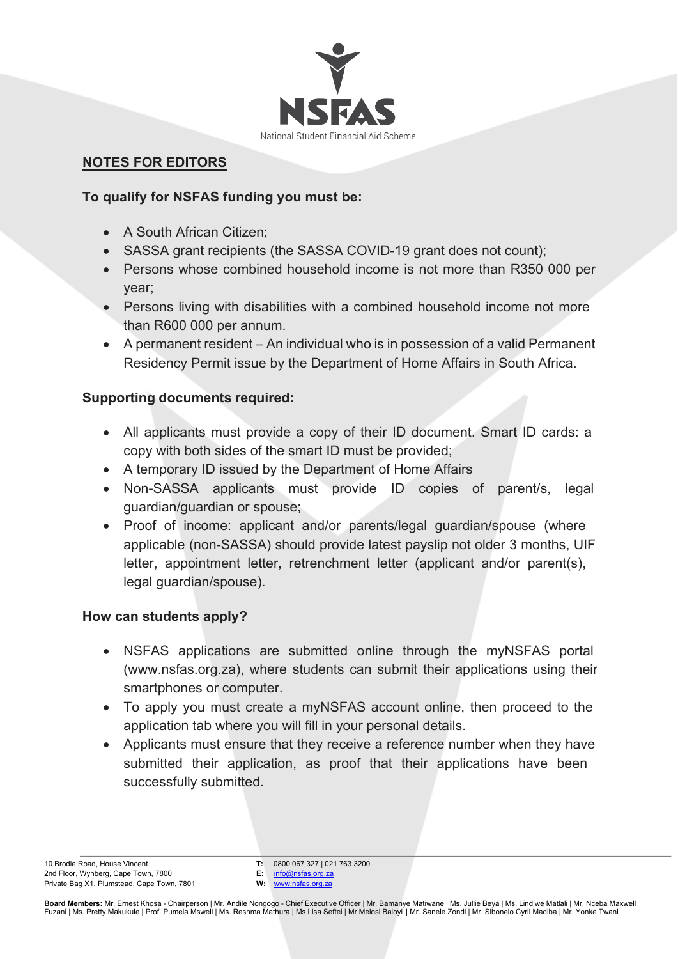

#### **NOTES FOR EDITORS**

#### **To qualify for NSFAS funding you must be:**

- A South African Citizen;
- SASSA grant recipients (the SASSA COVID-19 grant does not count);
- Persons whose combined household income is not more than R350 000 per year;
- Persons living with disabilities with a combined household income not more than R600 000 per annum.
- A permanent resident An individual who is in possession of a valid Permanent Residency Permit issue by the Department of Home Affairs in South Africa.

## **Supporting documents required:**

- All applicants must provide a copy of their ID document. Smart ID cards: a copy with both sides of the smart ID must be provided;
- A temporary ID issued by the Department of Home Affairs
- Non-SASSA applicants must provide ID copies of parent/s, legal guardian/guardian or spouse;
- Proof of income: applicant and/or parents/legal guardian/spouse (where applicable (non-SASSA) should provide latest payslip not older 3 months, UIF letter, appointment letter, retrenchment letter (applicant and/or parent(s), legal guardian/spouse).

#### **How can students apply?**

- NSFAS applications are submitted online through the myNSFAS portal (www.nsfas.org.za), where students can submit their applications using their smartphones or computer.
- To apply you must create a myNSFAS account online, then proceed to the application tab where you will fill in your personal details.
- Applicants must ensure that they receive a reference number when they have submitted their application, as proof that their applications have been successfully submitted.

**T:** 0800 067 327 | 021 763 3200

**E:** info@nsfas.org.za **W:** www.nsfas.org.za